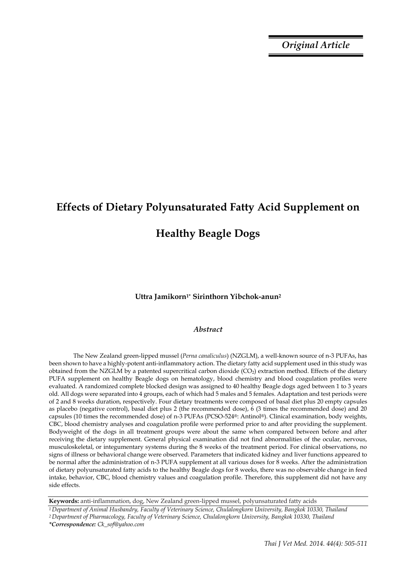*Original Article*

# **Effects of Dietary Polyunsaturated Fatty Acid Supplement on**

# **Healthy Beagle Dogs**

### **Uttra Jamikorn1\* Sirinthorn Yibchok-anun2**

#### *Abstract*

The New Zealand green-lipped mussel (*Perna canaliculus*) (NZGLM), a well-known source of n-3 PUFAs, has been shown to have a highly-potent anti-inflammatory action. The dietary fatty acid supplement used in this study was obtained from the NZGLM by a patented supercritical carbon dioxide (CO2) extraction method. Effects of the dietary PUFA supplement on healthy Beagle dogs on hematology, blood chemistry and blood coagulation profiles were evaluated. A randomized complete blocked design was assigned to 40 healthy Beagle dogs aged between 1 to 3 years old. All dogs were separated into 4 groups, each of which had 5 males and 5 females. Adaptation and test periods were of 2 and 8 weeks duration, respectively. Four dietary treatments were composed of basal diet plus 20 empty capsules as placebo (negative control), basal diet plus 2 (the recommended dose), 6 (3 times the recommended dose) and 20 capsules (10 times the recommended dose) of n-3 PUFAs (PCSO-524®: Antinol®). Clinical examination, body weights, CBC, blood chemistry analyses and coagulation profile were performed prior to and after providing the supplement. Bodyweight of the dogs in all treatment groups were about the same when compared between before and after receiving the dietary supplement. General physical examination did not find abnormalities of the ocular, nervous, musculoskeletal, or integumentary systems during the 8 weeks of the treatment period. For clinical observations, no signs of illness or behavioral change were observed. Parameters that indicated kidney and liver functions appeared to be normal after the administration of n-3 PUFA supplement at all various doses for 8 weeks. After the administration of dietary polyunsaturated fatty acids to the healthy Beagle dogs for 8 weeks, there was no observable change in feed intake, behavior, CBC, blood chemistry values and coagulation profile. Therefore, this supplement did not have any side effects.

**Keywords:** anti-inflammation, dog, New Zealand green-lipped mussel, polyunsaturated fatty acids *1 Department of Animal Husbandry, Faculty of Veterinary Science, Chulalongkorn University, Bangkok 10330, Thailand 2 Department of Pharmacology, Faculty of Veterinary Science, Chulalongkorn University, Bangkok 10330, Thailand*

*<sup>\*</sup>Correspondence: Ck\_sof@yahoo.com*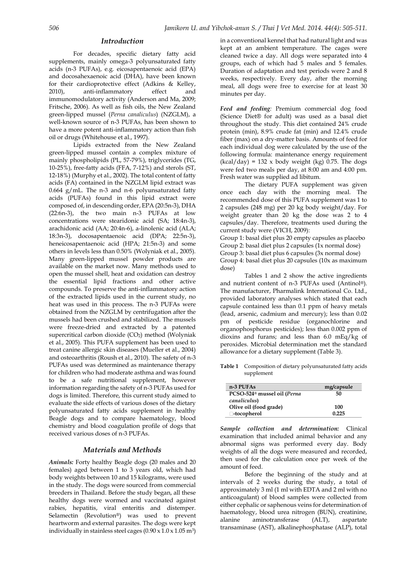#### *Introduction*

For decades, specific dietary fatty acid supplements, mainly omega-3 polyunsaturated fatty acids (n-3 PUFAs), e.g. eicosapentaenoic acid (EPA) and docosahexaenoic acid (DHA), have been known for their cardioprotective effect (Adkins & Kelley, 2010), anti-inflammatory effect and immunomodulatory activity (Anderson and Ma, 2009; Fritsche, 2006). As well as fish oils, the New Zealand green-lipped mussel (*Perna canaliculus*) (NZGLM), a well-known source of n-3 PUFAs, has been shown to have a more potent anti-inflammatory action than fish oil or drugs (Whitehouse et al., 1997).

Lipids extracted from the New Zealand green-lipped mussel contain a complex mixture of mainly phospholipids (PL, 57-79%), triglycerides (TG, 10-25%), free-fatty acids (FFA, 7-12%) and sterols (ST, 12-18%) (Murphy et al., 2002). The total content of fatty acids (FA) contained in the NZGLM lipid extract was 0.664 g/mL. The n-3 and n-6 polyunsaturated fatty acids (PUFAs) found in this lipid extract were composed of, in descending order, EPA (20:5n-3), DHA (22:6n-3), the two main n-3 PUFAs at low concentrations were stearidonic acid (SA; 18:4n-3), arachidonic acid (AA; 20:4n-6), a-linolenic acid (ALA; 18:3n-3), docosapentaenoic acid (DPA; 22:5n-3), heneicosapentaenoic acid (HPA; 21:5n-3) and some others in levels less than 0.50% (Wolyniak et al., 2005). Many green-lipped mussel powder products are available on the market now. Many methods used to open the mussel shell, heat and oxidation can destroy the essential lipid fractions and other active compounds. To preserve the anti-inflammatory action of the extracted lipids used in the current study, no heat was used in this process. The n-3 PUFAs were obtained from the NZGLM by centrifugation after the mussels had been crushed and stabilized. The mussels were freeze-dried and extracted by a patented supercritical carbon dioxide  $(CO<sub>2</sub>)$  method (Wolyniak et al., 2005). This PUFA supplement has been used to treat canine allergic skin diseases (Mueller et al., 2004) and osteoarthritis (Roush et al., 2010). The safety of n-3 PUFAs used was determined as maintenance therapy for children who had moderate asthma and was found to be a safe nutritional supplement, however information regarding the safety of n-3 PUFAs used for dogs is limited. Therefore, this current study aimed to evaluate the side effects of various doses of the dietary polyunsaturated fatty acids supplement in healthy Beagle dogs and to compare haematology, blood chemistry and blood coagulation profile of dogs that received various doses of n-3 PUFAs.

#### *Materials and Methods*

*Animals:* Forty healthy Beagle dogs (20 males and 20 females) aged between 1 to 3 years old, which had body weights between 10 and 15 kilograms, were used in the study. The dogs were sourced from commercial breeders in Thailand. Before the study began, all these healthy dogs were wormed and vaccinated against rabies, hepatitis, viral enteritis and distemper. Selamectin (Revolution®) was used to prevent heartworm and external parasites. The dogs were kept individually in stainless steel cages  $(0.90 \times 1.0 \times 1.05 \text{ m}^3)$  in a conventional kennel that had natural light and was kept at an ambient temperature. The cages were cleaned twice a day. All dogs were separated into 4 groups, each of which had 5 males and 5 females. Duration of adaptation and test periods were 2 and 8 weeks, respectively. Every day, after the morning meal, all dogs were free to exercise for at least 30 minutes per day.

*Feed and feeding:* Premium commercial dog food (Science Diet® for adult) was used as a basal diet throughout the study. This diet contained 24% crude protein (min), 8.9% crude fat (min) and 12.4% crude fiber (max) on a dry-matter basis. Amounts of feed for each individual dog were calculated by the use of the following formula: maintenance energy requirement  $(kcal/day) = 132$  x body weight (kg) 0.75. The dogs were fed two meals per day, at 8:00 am and 4:00 pm. Fresh water was supplied ad libitum.

The dietary PUFA supplement was given once each day with the morning meal. The recommended dose of this PUFA supplement was 1 to 2 capsules (248 mg) per 20 kg body weight/day. For weight greater than 20 kg the dose was 2 to 4 capsules/day. Therefore, treatments used during the current study were (VICH, 2009):

Group 1: basal diet plus 20 empty capsules as placebo Group 2: basal diet plus 2 capsules (1x normal dose) Group 3: basal diet plus 6 capsules (3x normal dose) Group 4: basal diet plus 20 capsules (10x as maximum dose)

Tables 1 and 2 show the active ingredients and nutrient content of n-3 PUFAs used (Antinol®). The manufacturer, Pharmalink International Co. Ltd., provided laboratory analyses which stated that each capsule contained less than 0.1 ppm of heavy metals (lead, arsenic, cadmium and mercury); less than 0.02 pm of pesticide residue (organochlorine and organophosphorus pesticides); less than 0.002 ppm of dioxins and furans; and less than 6.0 mEq/kg of peroxides. Microbial determination met the standard allowance for a dietary supplement (Table 3).

**Table 1** Composition of dietary polyunsaturated fatty acids supplement

| $n-3$ PUFAs                             | mg/capsule |
|-----------------------------------------|------------|
| PCSO-524 <sup>®</sup> mussel oil (Perna | 50         |
| canaliculus)                            |            |
| Olive oil (food grade)                  | 100        |
| -tocopherol                             | በ 225      |

*Sample collection and determination:* Clinical examination that included animal behavior and any abnormal signs was performed every day. Body weights of all the dogs were measured and recorded, then used for the calculation once per week of the amount of feed.

Before the beginning of the study and at intervals of 2 weeks during the study, a total of approximately 3 ml (1 ml with EDTA and 2 ml with no anticoagulant) of blood samples were collected from either cephalic or saphenous veins for determination of haematology, blood urea nitrogen (BUN), creatinine, alanine aminotransferase (ALT), aspartate transaminase (AST), alkalinephosphatase (ALP), total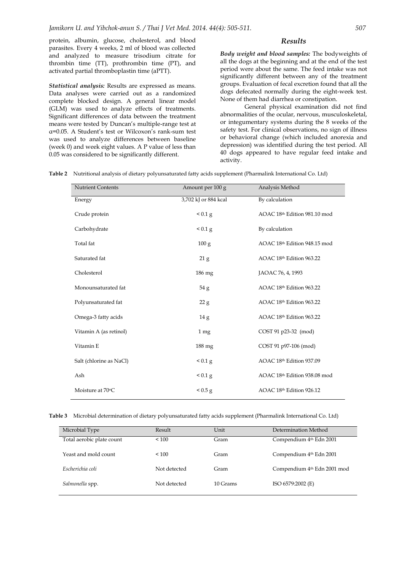protein, albumin, glucose, cholesterol, and blood parasites. Every 4 weeks, 2 ml of blood was collected and analyzed to measure trisodium citrate for thrombin time (TT), prothrombin time (PT), and activated partial thromboplastin time (aPTT).

*Statistical analysis:* Results are expressed as means. Data analyses were carried out as a randomized complete blocked design. A general linear model (GLM) was used to analyze effects of treatments. Significant differences of data between the treatment means were tested by Duncan's multiple-range test at α=0.05. A Student's test or Wilcoxon's rank-sum test was used to analyze differences between baseline (week 0) and week eight values. A P value of less than 0.05 was considered to be significantly different.

#### *Results*

*Body weight and blood samples:* The bodyweights of all the dogs at the beginning and at the end of the test period were about the same. The feed intake was not significantly different between any of the treatment groups. Evaluation of fecal excretion found that all the dogs defecated normally during the eight-week test. None of them had diarrhea or constipation.

General physical examination did not find abnormalities of the ocular, nervous, musculoskeletal, or integumentary systems during the 8 weeks of the safety test. For clinical observations, no sign of illness or behavioral change (which included anorexia and depression) was identified during the test period. All 40 dogs appeared to have regular feed intake and activity.

**Table 2** Nutritional analysis of dietary polyunsaturated fatty acids supplement (Pharmalink International Co. Ltd)

| <b>Nutrient Contents</b> | Amount per 100 g     | Analysis Method              |
|--------------------------|----------------------|------------------------------|
| Energy                   | 3,702 kJ or 884 kcal | By calculation               |
| Crude protein            | < 0.1 g              | AOAC 18th Edition 981.10 mod |
| Carbohydrate             | < 0.1 g              | By calculation               |
| Total fat                | 100 g                | AOAC 18th Edition 948.15 mod |
| Saturated fat            | 21 <sub>g</sub>      | AOAC 18th Edition 963.22     |
| Cholesterol              | 186 mg               | JAOAC 76, 4, 1993            |
| Monounsaturated fat      | 54g                  | AOAC 18th Edition 963.22     |
| Polyunsaturated fat      | 22 g                 | AOAC 18th Edition 963.22     |
| Omega-3 fatty acids      | 14 g                 | AOAC 18th Edition 963.22     |
| Vitamin A (as retinol)   | 1 mg                 | COST 91 p23-32 (mod)         |
| Vitamin E                | 188 mg               | COST 91 p97-106 (mod)        |
| Salt (chlorine as NaCl)  | < 0.1 g              | AOAC 18th Edition 937.09     |
| Ash                      | < 0.1 g              | AOAC 18th Edition 938.08 mod |
| Moisture at 70°C         | < 0.5 g              | AOAC 18th Edition 926.12     |

**Table 3** Microbial determination of dietary polyunsaturated fatty acids supplement (Pharmalink International Co. Ltd)

| Microbial Type            | Result       | Unit     | Determination Method                |
|---------------------------|--------------|----------|-------------------------------------|
| Total aerobic plate count | ${}_{100}$   | Gram     | Compendium 4 <sup>th</sup> Edn 2001 |
| Yeast and mold count      | < 100        | Gram     | Compendium 4th Edn 2001             |
| Escherichia coli          | Not detected | Gram     | Compendium 4th Edn 2001 mod         |
| Salmonella spp.           | Not detected | 10 Grams | ISO 6579:2002 (E)                   |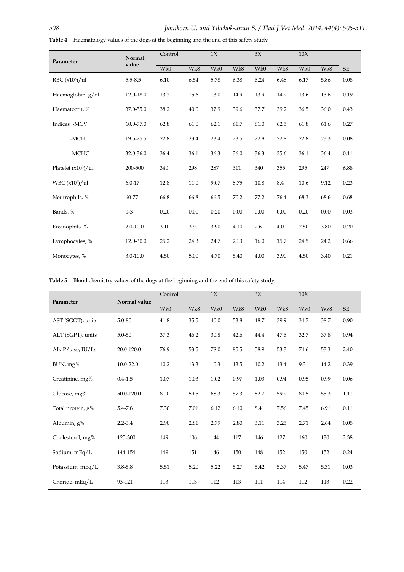| Parameter                  | <b>Normal</b> | Control |      |      | 1X   |      | 3X   |      | 10X  |      |
|----------------------------|---------------|---------|------|------|------|------|------|------|------|------|
|                            | value         | Wk0     | Wk8  | Wk0  | Wk8  | Wk0  | Wk8  | Wk0  | Wk8  | SE   |
| RBC (x10 <sup>6</sup> )/ul | $5.5 - 8.5$   | 6.10    | 6.54 | 5.78 | 6.38 | 6.24 | 6.48 | 6.17 | 5.86 | 0.08 |
| Haemoglobin, g/dl          | 12.0-18.0     | 13.2    | 15.6 | 13.0 | 14.9 | 13.9 | 14.9 | 13.6 | 13.6 | 0.19 |
| Haematocrit, %             | 37.0-55.0     | 38.2    | 40.0 | 37.9 | 39.6 | 37.7 | 39.2 | 36.5 | 36.0 | 0.43 |
| Indices -MCV               | 60.0-77.0     | 62.8    | 61.0 | 62.1 | 61.7 | 61.0 | 62.5 | 61.8 | 61.6 | 0.27 |
| -MCH                       | 19.5-25.5     | 22.8    | 23.4 | 23.4 | 23.5 | 22.8 | 22.8 | 22.8 | 23.3 | 0.08 |
| -MCHC                      | 32.0-36.0     | 36.4    | 36.1 | 36.3 | 36.0 | 36.3 | 35.6 | 36.1 | 36.4 | 0.11 |
| Platelet $(x10^3)/$ ul     | 200-500       | 340     | 298  | 287  | 311  | 340  | 355  | 295  | 247  | 6.88 |
| WBC $(x10^3)/u$            | $6.0 - 17$    | 12.8    | 11.0 | 9.07 | 8.75 | 10.8 | 8.4  | 10.6 | 9.12 | 0.23 |
| Neutrophils, %             | 60-77         | 66.8    | 66.8 | 66.5 | 70.2 | 77.2 | 76.4 | 68.3 | 68.6 | 0.68 |
| Bands, %                   | $0 - 3$       | 0.20    | 0.00 | 0.20 | 0.00 | 0.00 | 0.00 | 0.20 | 0.00 | 0.03 |
| Eosinophils, %             | $2.0 - 10.0$  | 3.10    | 3.90 | 3.90 | 4.10 | 2.6  | 4.0  | 2.50 | 3.80 | 0.20 |

Lymphocytes, % 12.0-30.0 25.2 24.3 24.7 20.3 16.0 15.7 24.5 24.2 0.66

Monocytes, % 3.0-10.0 4.50 5.00 4.70 5.40 4.00 3.90 4.50 3.40 0.21

**Table 4** Haematology values of the dogs at the beginning and the end of this safety study

**Table 5** Blood chemistry values of the dogs at the beginning and the end of this safety study

|                       | Normal value  | Control |      | 1X   |      | $3X$ |      | 10X  |      |           |
|-----------------------|---------------|---------|------|------|------|------|------|------|------|-----------|
| Parameter             |               | Wk0     | Wk8  | Wk0  | Wk8  | Wk0  | Wk8  | Wk0  | Wk8  | <b>SE</b> |
| AST (SGOT), units     | 5.0-80        | 41.8    | 35.5 | 40.0 | 53.8 | 48.7 | 39.9 | 34.7 | 38.7 | 0.90      |
| ALT (SGPT), units     | $5.0 - 50$    | 37.3    | 46.2 | 30.8 | 42.6 | 44.4 | 47.6 | 32.7 | 37.8 | 0.94      |
| Alk. $P$ /tase, IU/Ls | 20.0-120.0    | 76.9    | 53.5 | 78.0 | 85.5 | 58.9 | 53.3 | 74.6 | 53.3 | 2.40      |
| BUN, mg%              | $10.0 - 22.0$ | 10.2    | 13.3 | 10.3 | 13.5 | 10.2 | 13.4 | 9.3  | 14.2 | 0.39      |
| Creatinine, mg%       | $0.4 - 1.5$   | 1.07    | 1.03 | 1.02 | 0.97 | 1.03 | 0.94 | 0.95 | 0.99 | 0.06      |
| Glucose, mg%          | 50.0-120.0    | 81.0    | 59.5 | 68.3 | 57.3 | 82.7 | 59.9 | 80.5 | 55.3 | 1.11      |
| Total protein, g%     | 5.4-7.8       | 7.30    | 7.01 | 6.12 | 6.10 | 8.41 | 7.56 | 7.45 | 6.91 | 0.11      |
| Albumin, g%           | $2.2 - 3.4$   | 2.90    | 2.81 | 2.79 | 2.80 | 3.11 | 3.25 | 2.71 | 2.64 | 0.05      |
| Cholesterol, mg%      | 125-300       | 149     | 106  | 144  | 117  | 146  | 127  | 160  | 130  | 2.38      |
| Sodium, mEq/L         | 144-154       | 149     | 151  | 146  | 150  | 148  | 152  | 150  | 152  | 0.24      |
| Potassium, mEq/L      | $3.8 - 5.8$   | 5.51    | 5.20 | 5.22 | 5.27 | 5.42 | 5.37 | 5.47 | 5.31 | 0.03      |
| Choride, mEq/L        | 93-121        | 113     | 113  | 112  | 113  | 111  | 114  | 112  | 113  | 0.22      |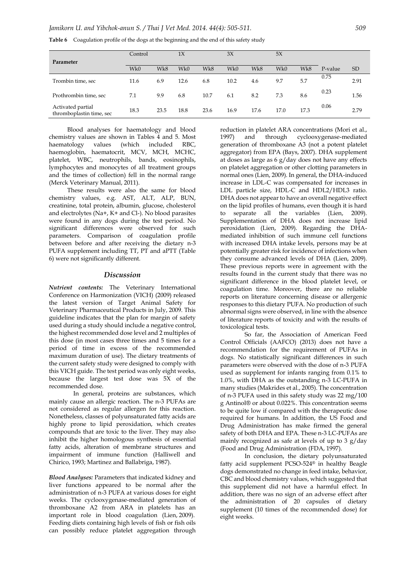|  |  |  |  |  |  | Table 6 Coagulation profile of the dogs at the beginning and the end of this safety study |
|--|--|--|--|--|--|-------------------------------------------------------------------------------------------|
|--|--|--|--|--|--|-------------------------------------------------------------------------------------------|

|                                               | Control |      | 1X   |      | 3X   |      | 5X   |      |         |      |
|-----------------------------------------------|---------|------|------|------|------|------|------|------|---------|------|
| Parameter                                     |         |      |      |      |      |      |      |      |         |      |
|                                               | Wk0     | Wk8  | Wk0  | Wk8  | Wk0  | Wk8  | Wk0  | Wk8  | P-value | SD   |
| Trombin time, sec                             | 11.6    | 6.9  | 12.6 | 6.8  | 10.2 | 4.6  | 9.7  | 5.7  | 0.75    | 2.91 |
| Prothrombin time, sec                         | 7.1     | 9.9  | 6.8  | 10.7 | 6.1  | 8.2  | 7.3  | 8.6  | 0.23    | 1.56 |
| Activated partial<br>thromboplastin time, sec | 18.3    | 23.5 | 18.8 | 23.6 | 16.9 | 17.6 | 17.0 | 17.3 | 0.06    | 2.79 |

Blood analyses for haematology and blood chemistry values are shown in Tables 4 and 5. Most haematology values (which included RBC, haemoglobin, haematocrit, MCV, MCH, MCHC, platelet, WBC, neutrophils, bands, eosinophils, lymphocytes and monocytes of all treatment groups and the times of collection) fell in the normal range (Merck Veterinary Manual, 2011).

These results were also the same for blood chemistry values, e.g. AST, ALT, ALP, BUN, creatinine, total protein, albumin, glucose, cholesterol and electrolytes (Na+, K+ and Cl-). No blood parasites were found in any dogs during the test period. No significant differences were observed for such parameters. Comparison of coagulation profile between before and after receiving the dietary n-3 PUFA supplement including TT, PT and aPTT (Table 6) were not significantly different.

#### *Discussion*

*Nutrient contents:* The Veterinary International Conference on Harmonization (VICH) (2009) released the latest version of Target Animal Safety for Veterinary Pharmaceutical Products in July, 2009. This guideline indicates that the plan for margin of safety used during a study should include a negative control, the highest recommended dose level and 2 multiples of this dose (in most cases three times and 5 times for a period of time in excess of the recommended maximum duration of use). The dietary treatments of the current safety study were designed to comply with this VICH guide. The test period was only eight weeks, because the largest test dose was 5X of the recommended dose.

In general, proteins are substances, which mainly cause an allergic reaction. The n-3 PUFAs are not considered as regular allergen for this reaction. Nonetheless, classes of polyunsaturated fatty acids are highly prone to lipid peroxidation, which creates compounds that are toxic to the liver. They may also inhibit the higher homologous synthesis of essential fatty acids, alteration of membrane structures and impairment of immune function (Halliwell and Chirico, 1993; Martinez and Ballabriga, 1987).

*Blood Analyses:* Parameters that indicated kidney and liver functions appeared to be normal after the administration of n-3 PUFA at various doses for eight weeks. The cyclooxygenase-mediated generation of thromboxane A2 from ARA in platelets has an important role in blood coagulation (Lien, 2009). Feeding diets containing high levels of fish or fish oils can possibly reduce platelet aggregation through

reduction in platelet ARA concentrations (Mori et al., 1997) and through cyclooxygenase-mediated generation of thromboxane A3 (not a potent platelet aggregator) from EPA (Bays, 2007). DHA supplement at doses as large as 6 g/day does not have any effects on platelet aggregation or other clotting parameters in normal ones (Lien, 2009). In general, the DHA-induced increase in LDL-C was compensated for increases in LDL particle size, HDL-C and HDL2/HDL3 ratio. DHA does not appear to have an overall negative effect on the lipid profiles of humans, even though it is hard to separate all the variables (Lien, 2009). Supplementation of DHA does not increase lipid peroxidation (Lien, 2009). Regarding the DHAmediated inhibition of such immune cell functions with increased DHA intake levels, persons may be at potentially greater risk for incidence of infections when they consume advanced levels of DHA (Lien, 2009). These previous reports were in agreement with the results found in the current study that there was no significant difference in the blood platelet level, or coagulation time. Moreover, there are no reliable reports on literature concerning disease or allergenic responses to this dietary PUFA. No production of such abnormal signs were observed, in line with the absence of literature reports of toxicity and with the results of toxicological tests.

So far, the Association of American Feed Control Officials (AAFCO) (2013) does not have a recommendation for the requirement of PUFAs in dogs. No statistically significant differences in such parameters were observed with the dose of n-3 PUFA used as supplement for infants ranging from 0.1% to 1.0%, with DHA as the outstanding n-3 LC-PUFA in many studies (Makrides et al., 2005). The concentration of n-3 PUFA used in this safety study was 22 mg/100 g Antinol® or about 0.022%. This concentration seems to be quite low if compared with the therapeutic dose required for humans. In addition, the US Food and Drug Administration has make firmed the general safety of both DHA and EPA. These n-3 LC-PUFAs are mainly recognized as safe at levels of up to 3 g/day (Food and Drug Administration (FDA, 1997).

In conclusion, the dietary polyunsaturated fatty acid supplement PCSO-524® in healthy Beagle dogs demonstrated no change in feed intake, behavior, CBC and blood chemistry values, which suggested that this supplement did not have a harmful effect. In addition, there was no sign of an adverse effect after the administration of 20 capsules of dietary supplement (10 times of the recommended dose) for eight weeks.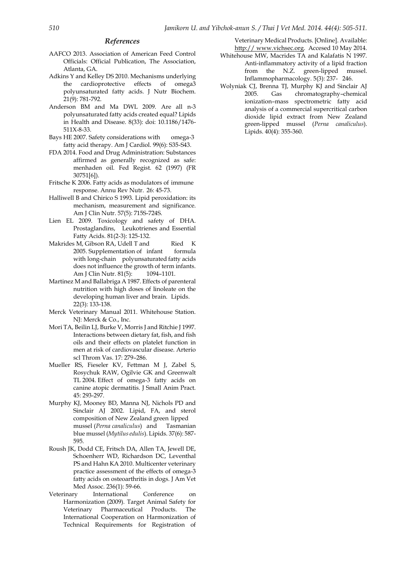#### *References*

- AAFCO 2013. Association of American Feed Control Officials: Official Publication, The Association, Atlanta, GA.
- Adkins Y and Kelley DS 2010. Mechanisms underlying the cardioprotective effects of omega3 polyunsaturated fatty acids. J Nutr Biochem. 21(9): 781-792.
- Anderson BM and Ma DWL 2009. Are all n-3 polyunsaturated fatty acids created equal? Lipids in Health and Disease. 8(33): doi: 10.1186/1476- 511X-8-33.
- Bays HE 2007. Safety considerations with omega-3 fatty acid therapy. Am J Cardiol. 99(6): S35-S43.
- FDA 2014. Food and Drug Administration: Substances affirmed as generally recognized as safe: menhaden oil. Fed Regist. 62 (1997) (FR 30751[6]).
- Fritsche K 2006. Fatty acids as modulators of immune response. Annu Rev Nutr. 26: 45-73.
- Halliwell B and Chirico S 1993. Lipid peroxidation: its mechanism, measurement and significance. Am J Clin Nutr. 57(5): 715S-724S.
- Lien EL 2009. Toxicology and safety of DHA. Prostaglandins, Leukotrienes and Essential Fatty Acids. 81(2-3): 125-132.
- Makrides M, Gibson RA, Udell T and Ried K 2005. Supplementation of infant formula with long-chain polyunsaturated fatty acids does not influence the growth of term infants. Am J Clin Nutr. 81(5): 1094-1101.
- Martinez M and Ballabriga A 1987. Effects of parenteral nutrition with high doses of linoleate on the developing human liver and brain. Lipids. 22(3): 133-138.
- Merck Veterinary Manual 2011. Whitehouse Station. NJ: Merck & Co., Inc.
- Mori TA, Beilin LJ, Burke V, Morris J and Ritchie J 1997. Interactions between dietary fat, fish, and fish oils and their effects on platelet function in men at risk of cardiovascular disease. Arterio scl Throm Vas. 17: 279–286.
- Mueller RS, Fieseler KV, Fettman M J, Zabel S, Rosychuk RAW, Ogilvie GK and Greenwalt TL 2004. Effect of omega-3 fatty acids on canine atopic dermatitis. J Small Anim Pract. 45: 293-297.
- Murphy KJ, Mooney BD, Manna NJ, Nichols PD and Sinclair AJ 2002. Lipid, FA, and sterol composition of New Zealand green lipped mussel (*Perna canaliculus*) and Tasmanian blue mussel (*Mytilus edulis*). Lipids. 37(6): 587- 595.
- Roush JK, Dodd CE, Fritsch DA, Allen TA, Jewell DE, Schoenherr WD, Richardson DC, Leventhal PS and Hahn KA 2010. Multicenter veterinary practice assessment of the effects of omega-3 fatty acids on osteoarthritis in dogs. J Am Vet Med Assoc. 236(1): 59-66.
- Veterinary International Conference on Harmonization (2009). Target Animal Safety for Veterinary Pharmaceutical Products. The International Cooperation on Harmonization of Technical Requirements for Registration of

Veterinary Medical Products. [Online]. Available: http:// www.vichsec.org. Accesed 10 May 2014.

- Whitehouse MW, Macrides TA and Kalafatis N 1997. Anti-inflammatory activity of a lipid fraction from the N.Z. green-lipped mussel. Inflammopharmacology. 5(3): 237- 246.
- Wolyniak CJ, Brenna TJ, Murphy KJ and Sinclair AJ 2005. Gas chromatography–chemical ionization–mass spectrometric fatty acid analysis of a commercial supercritical carbon dioxide lipid extract from New Zealand green-lipped mussel (*Perna canaliculus*). Lipids.  $40(4)$ : 355-360.